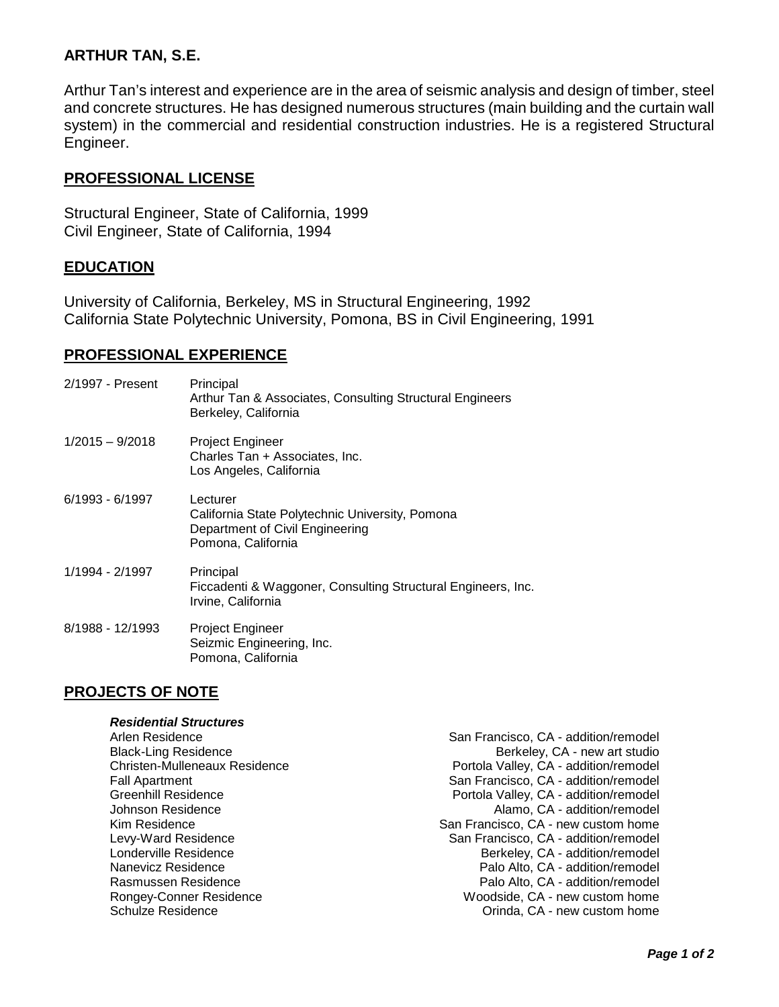# **ARTHUR TAN, S.E.**

Arthur Tan's interest and experience are in the area of seismic analysis and design of timber, steel and concrete structures. He has designed numerous structures (main building and the curtain wall system) in the commercial and residential construction industries. He is a registered Structural Engineer.

## **PROFESSIONAL LICENSE**

Structural Engineer, State of California, 1999 Civil Engineer, State of California, 1994

## **EDUCATION**

University of California, Berkeley, MS in Structural Engineering, 1992 California State Polytechnic University, Pomona, BS in Civil Engineering, 1991

## **PROFESSIONAL EXPERIENCE**

| 2/1997 - Present  | Principal<br>Arthur Tan & Associates, Consulting Structural Engineers<br>Berkeley, California                        |
|-------------------|----------------------------------------------------------------------------------------------------------------------|
| $1/2015 - 9/2018$ | <b>Project Engineer</b><br>Charles Tan + Associates, Inc.<br>Los Angeles, California                                 |
| 6/1993 - 6/1997   | Lecturer<br>California State Polytechnic University, Pomona<br>Department of Civil Engineering<br>Pomona, California |
| 1/1994 - 2/1997   | Principal<br>Ficcadenti & Waggoner, Consulting Structural Engineers, Inc.<br>Irvine, California                      |
| 8/1988 - 12/1993  | <b>Project Engineer</b><br>Seizmic Engineering, Inc.<br>Pomona, California                                           |

## **PROJECTS OF NOTE**

# *Residential Structures* Arlen Residence **San Francisco, CA - addition/remodel** Black-Ling Residence Berkeley, CA - new art studio Christen-Mulleneaux Residence **Portola Valley, CA** - addition/remodel<br>Fall Apartment Portola Valley, CA - addition/remodel Fall Apartment **Fall Apartment** San Francisco, CA - addition/remodel<br>Greenhill Residence **San Francisco, CA - addition/remodel** Portola Valley, CA - addition/remodel Johnson Residence **Alamo, CA** - addition/remodel Kim Residence **San Francisco, CA - new custom home**<br>Levy-Ward Residence **San Francisco, CA - addition/remodel** Levy-Ward Residence **San Francisco, CA - addition/remodel**<br>Londerville Residence **San Francisco, CA - addition/remodel** Londerville Residence Berkeley, CA - addition/remodel Palo Alto, CA - addition/remodel Rasmussen Residence **Palo Alto, CA** - addition/remodel Rongey-Conner Residence **Network Conner Residence** Woodside, CA - new custom home<br>Schulze Residence **Network Conner Conner Conner Conner Conner Conner Conner Conner Conner Conner Conner Conne** Orinda, CA - new custom home